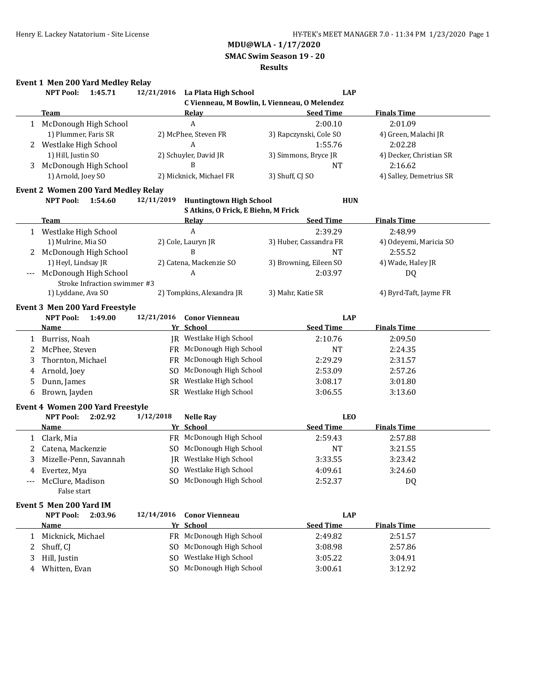**SMAC Swim Season 19 - 20**

#### **Results**

## **Event 1 Men 200 Yard Medley Relay**

|   | <b>NPT Pool:</b>                           | 1:45.71                      |                | 12/21/2016 La Plata High School              | <b>LAP</b>             |                         |
|---|--------------------------------------------|------------------------------|----------------|----------------------------------------------|------------------------|-------------------------|
|   |                                            |                              |                | C Vienneau, M Bowlin, L Vienneau, O Melendez |                        |                         |
|   | <b>Team</b>                                |                              |                | Relay                                        | <b>Seed Time</b>       | <b>Finals Time</b>      |
|   | 1 McDonough High School                    |                              |                | A                                            | 2:00.10                | 2:01.09                 |
|   | 1) Plummer, Faris SR                       |                              |                | 2) McPhee, Steven FR                         | 3) Rapczynski, Cole SO | 4) Green, Malachi JR    |
|   | Westlake High School                       |                              |                | A                                            | 1:55.76                | 2:02.28                 |
|   | 1) Hill, Justin SO                         |                              |                | 2) Schuyler, David JR                        | 3) Simmons, Bryce JR   | 4) Decker, Christian SR |
| 3 | McDonough High School                      |                              |                | B                                            | <b>NT</b>              | 2:16.62                 |
|   | 1) Arnold, Joey SO                         |                              |                | 2) Micknick, Michael FR                      | 3) Shuff, CJ SO        | 4) Salley, Demetrius SR |
|   | <b>Event 2 Women 200 Yard Medley Relay</b> |                              |                |                                              |                        |                         |
|   | <b>NPT Pool:</b>                           | 1:54.60                      | 12/11/2019     | <b>Huntingtown High School</b>               | <b>HUN</b>             |                         |
|   |                                            |                              |                | S Atkins, O Frick, E Biehn, M Frick          |                        |                         |
|   | <b>Team</b>                                |                              |                | <b>Relay</b>                                 | <b>Seed Time</b>       | <b>Finals Time</b>      |
|   | 1 Westlake High School                     |                              |                | A                                            | 2:39.29                | 2:48.99                 |
|   | 1) Mulrine, Mia SO                         |                              |                | 2) Cole, Lauryn JR                           | 3) Huber, Cassandra FR | 4) Odeyemi, Maricia SO  |
| 2 | McDonough High School                      |                              |                | B                                            | <b>NT</b>              | 2:55.52                 |
|   | 1) Heyl, Lindsay JR                        |                              |                | 2) Catena, Mackenzie SO                      | 3) Browning, Eileen SO | 4) Wade, Haley JR       |
|   | McDonough High School                      |                              |                | A                                            | 2:03.97                | DQ                      |
|   |                                            | Stroke Infraction swimmer #3 |                |                                              |                        |                         |
|   | 1) Lyddane, Ava SO                         |                              |                | 2) Tompkins, Alexandra JR                    | 3) Mahr, Katie SR      | 4) Byrd-Taft, Jayme FR  |
|   | <b>Event 3 Men 200 Yard Freestyle</b>      |                              |                |                                              |                        |                         |
|   | <b>NPT Pool:</b>                           | 1:49.00                      | 12/21/2016     | <b>Conor Vienneau</b>                        | <b>LAP</b>             |                         |
|   | <u>Name</u>                                |                              |                | Yr School                                    | <b>Seed Time</b>       | <b>Finals Time</b>      |
|   | 1 Burriss, Noah                            |                              |                | JR Westlake High School                      | 2:10.76                | 2:09.50                 |
| 2 | McPhee, Steven                             |                              |                | FR McDonough High School                     | <b>NT</b>              | 2:24.35                 |
| 3 | Thornton, Michael                          |                              |                | FR McDonough High School                     | 2:29.29                | 2:31.57                 |
|   | Arnold, Joey                               |                              | S <sub>O</sub> | McDonough High School                        | 2:53.09                | 2:57.26                 |
| 4 | Dunn, James                                |                              |                | SR Westlake High School                      | 3:08.17                | 3:01.80                 |
| 5 |                                            |                              |                | SR Westlake High School                      |                        |                         |
| 6 | Brown, Jayden                              |                              |                |                                              | 3:06.55                | 3:13.60                 |
|   | Event 4 Women 200 Yard Freestyle           |                              |                |                                              |                        |                         |
|   | <b>NPT Pool:</b>                           | 2:02.92                      | 1/12/2018      | <b>Nelle Ray</b>                             | <b>LEO</b>             |                         |
|   | <b>Name</b>                                |                              |                | Yr School                                    | <b>Seed Time</b>       | <b>Finals Time</b>      |
| 1 | Clark, Mia                                 |                              |                | FR McDonough High School                     | 2:59.43                | 2:57.88                 |
| 2 | Catena, Mackenzie                          |                              |                | SO McDonough High School                     | NT                     | 3:21.55                 |
| 3 | Mizelle-Penn, Savannah                     |                              |                | JR Westlake High School                      | 3:33.55                | 3:23.42                 |
| 4 | Evertez, Mya                               |                              |                | SO Westlake High School                      | 4:09.61                | 3:24.60                 |
|   | McClure, Madison                           |                              |                | SO McDonough High School                     | 2:52.37                | DQ                      |
|   | False start                                |                              |                |                                              |                        |                         |
|   | Event 5 Men 200 Yard IM                    |                              |                |                                              |                        |                         |
|   | <b>NPT Pool:</b>                           | 2:03.96                      | 12/14/2016     | <b>Conor Vienneau</b>                        | <b>LAP</b>             |                         |
|   | <u>Name</u>                                |                              |                | Yr School                                    | <b>Seed Time</b>       | <b>Finals Time</b>      |
| 1 | Micknick, Michael                          |                              |                | FR McDonough High School                     | 2:49.82                | 2:51.57                 |
| 2 | Shuff, CJ                                  |                              |                | SO McDonough High School                     | 3:08.98                | 2:57.86                 |
| 3 | Hill, Justin                               |                              |                | SO Westlake High School                      | 3:05.22                | 3:04.91                 |
| 4 | Whitten, Evan                              |                              |                | SO McDonough High School                     | 3:00.61                | 3:12.92                 |
|   |                                            |                              |                |                                              |                        |                         |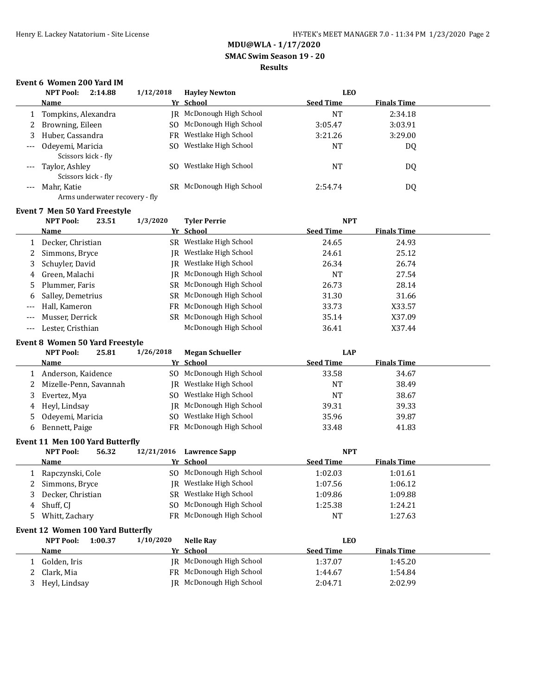### **SMAC Swim Season 19 - 20**

### **Results**

## **Event 6 Women 200 Yard IM**

|       | <b>NPT Pool:</b><br>2:14.88               | 1/12/2018 | <b>Havley Newton</b>            | <b>LEO</b>       |                    |  |
|-------|-------------------------------------------|-----------|---------------------------------|------------------|--------------------|--|
|       | <b>Name</b>                               |           | Yr School                       | <b>Seed Time</b> | <b>Finals Time</b> |  |
|       | Tompkins, Alexandra                       |           | <b>IR</b> McDonough High School | NT               | 2:34.18            |  |
| 2     | Browning, Eileen                          |           | SO McDonough High School        | 3:05.47          | 3:03.91            |  |
| 3.    | Huber, Cassandra                          |           | FR Westlake High School         | 3:21.26          | 3:29.00            |  |
| $---$ | Odevemi, Maricia<br>Scissors kick - fly   |           | SO Westlake High School         | NT               | DQ                 |  |
|       | --- Taylor, Ashley<br>Scissors kick - fly | SO.       | Westlake High School            | <b>NT</b>        | DQ                 |  |
| $---$ | Mahr, Katie                               |           | SR McDonough High School        | 2:54.74          | DQ                 |  |

## Arms underwater recovery - fly

|       | <b>Event 7 Men 50 Yard Freestyle</b> |          |                          |                  |                    |  |  |  |  |
|-------|--------------------------------------|----------|--------------------------|------------------|--------------------|--|--|--|--|
|       | <b>NPT Pool:</b><br>23.51            | 1/3/2020 | <b>Tyler Perrie</b>      | <b>NPT</b>       |                    |  |  |  |  |
|       | <b>Name</b>                          |          | Yr School                | <b>Seed Time</b> | <b>Finals Time</b> |  |  |  |  |
|       | Decker, Christian                    |          | SR Westlake High School  | 24.65            | 24.93              |  |  |  |  |
|       | 2 Simmons, Bryce                     | IR       | Westlake High School     | 24.61            | 25.12              |  |  |  |  |
| 3     | Schuyler, David                      |          | IR Westlake High School  | 26.34            | 26.74              |  |  |  |  |
| 4     | Green, Malachi                       | IR       | McDonough High School    | <b>NT</b>        | 27.54              |  |  |  |  |
|       | 5 Plummer, Faris                     |          | SR McDonough High School | 26.73            | 28.14              |  |  |  |  |
| 6     | Salley, Demetrius                    |          | SR McDonough High School | 31.30            | 31.66              |  |  |  |  |
| ---   | Hall, Kameron                        |          | FR McDonough High School | 33.73            | X33.57             |  |  |  |  |
| $---$ | Musser, Derrick                      | SR.      | McDonough High School    | 35.14            | X37.09             |  |  |  |  |
| ---   | Lester, Cristhian                    |          | McDonough High School    | 36.41            | X37.44             |  |  |  |  |

#### **Event 8 Women 50 Yard Freestyle**

|   | <b>NPT Pool:</b><br>25.81 | 1/26/2018 | <b>Megan Schueller</b>   | LAP              |                    |  |
|---|---------------------------|-----------|--------------------------|------------------|--------------------|--|
|   | Name                      |           | Yr School                | <b>Seed Time</b> | <b>Finals Time</b> |  |
|   | Anderson, Kaidence        |           | SO McDonough High School | 33.58            | 34.67              |  |
|   | Mizelle-Penn, Savannah    |           | IR Westlake High School  | NT               | 38.49              |  |
|   | Evertez, Mya              |           | SO Westlake High School  | <b>NT</b>        | 38.67              |  |
| 4 | Hevl, Lindsav             |           | IR McDonough High School | 39.31            | 39.33              |  |
|   | 5 Odevemi, Maricia        |           | SO Westlake High School  | 35.96            | 39.87              |  |
| 6 | Bennett, Paige            |           | FR McDonough High School | 33.48            | 41.83              |  |

#### **Event 11 Men 100 Yard Butterfly**

| <b>NPT Pool:</b>                  | 56.32         | 12/21/2016                                                                           | <b>Lawrence Sapp</b> | <b>NPT</b>                                                                                                                                                                                                                                                   |                    |  |
|-----------------------------------|---------------|--------------------------------------------------------------------------------------|----------------------|--------------------------------------------------------------------------------------------------------------------------------------------------------------------------------------------------------------------------------------------------------------|--------------------|--|
| <b>Name</b>                       |               |                                                                                      |                      | <b>Seed Time</b>                                                                                                                                                                                                                                             | <b>Finals Time</b> |  |
|                                   |               |                                                                                      |                      | 1:02.03                                                                                                                                                                                                                                                      | 1:01.61            |  |
|                                   |               |                                                                                      |                      | 1:07.56                                                                                                                                                                                                                                                      | 1:06.12            |  |
|                                   |               |                                                                                      |                      | 1:09.86                                                                                                                                                                                                                                                      | 1:09.88            |  |
| Shuff, CI                         |               |                                                                                      |                      | 1:25.38                                                                                                                                                                                                                                                      | 1:24.21            |  |
|                                   |               |                                                                                      |                      | NT                                                                                                                                                                                                                                                           | 1:27.63            |  |
| Event 12 Women 100 Yard Butterfly |               |                                                                                      |                      |                                                                                                                                                                                                                                                              |                    |  |
| <b>NPT Pool:</b>                  |               | 1/10/2020                                                                            | <b>Nelle Ray</b>     | <b>LEO</b>                                                                                                                                                                                                                                                   |                    |  |
| <b>Name</b>                       |               |                                                                                      |                      | <b>Seed Time</b>                                                                                                                                                                                                                                             | <b>Finals Time</b> |  |
| Golden, Iris                      |               |                                                                                      |                      | 1:37.07                                                                                                                                                                                                                                                      | 1:45.20            |  |
| Clark, Mia                        |               |                                                                                      |                      | 1:44.67                                                                                                                                                                                                                                                      | 1:54.84            |  |
|                                   |               |                                                                                      |                      | 2:04.71                                                                                                                                                                                                                                                      | 2:02.99            |  |
|                                   | Heyl, Lindsay | Rapczynski, Cole<br>Simmons, Bryce<br>Decker, Christian<br>Whitt, Zachary<br>1:00.37 |                      | Yr School<br>SO McDonough High School<br>Westlake High School<br>IR-<br>SR Westlake High School<br>SO McDonough High School<br>FR McDonough High School<br>Yr School<br>IR McDonough High School<br>FR McDonough High School<br>McDonough High School<br>IR- |                    |  |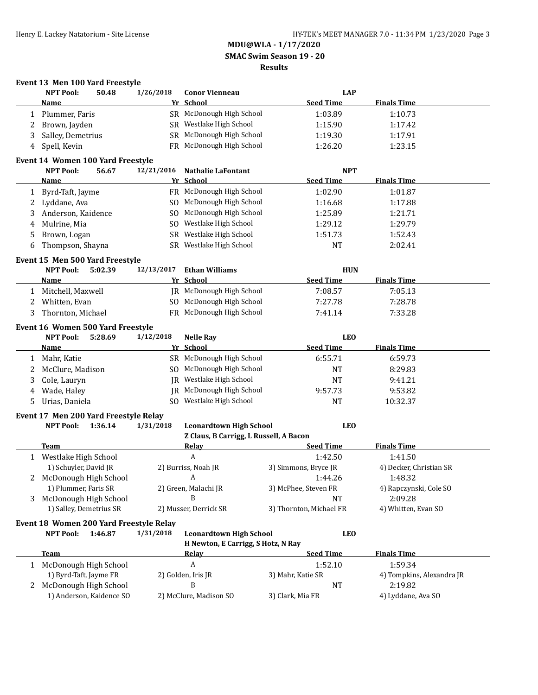### **MDU@WLA - 1/17/2020 SMAC Swim Season 19 - 20 Results**

|              | <b>NPT Pool:</b>                                  | 50.48                 | 1/26/2018  | <b>Conor Vienneau</b>                  | <b>LAP</b>              |                           |
|--------------|---------------------------------------------------|-----------------------|------------|----------------------------------------|-------------------------|---------------------------|
|              | Name                                              |                       |            | Yr School                              | <b>Seed Time</b>        | <b>Finals Time</b>        |
| 1            | Plummer, Faris                                    |                       |            | SR McDonough High School               | 1:03.89                 | 1:10.73                   |
| 2            | Brown, Jayden                                     |                       |            | SR Westlake High School                | 1:15.90                 | 1:17.42                   |
| 3            | Salley, Demetrius                                 |                       |            | SR McDonough High School               | 1:19.30                 | 1:17.91                   |
| 4            | Spell, Kevin                                      |                       |            | FR McDonough High School               | 1:26.20                 | 1:23.15                   |
|              | Event 14 Women 100 Yard Freestyle                 |                       |            |                                        |                         |                           |
|              | <b>NPT Pool:</b>                                  | 56.67                 | 12/21/2016 | <b>Nathalie LaFontant</b>              | <b>NPT</b>              |                           |
|              | Name                                              |                       |            | Yr School                              | <b>Seed Time</b>        | <b>Finals Time</b>        |
| 1            | Byrd-Taft, Jayme                                  |                       |            | FR McDonough High School               | 1:02.90                 | 1:01.87                   |
| 2            | Lyddane, Ava                                      |                       |            | SO McDonough High School               | 1:16.68                 | 1:17.88                   |
| 3            | Anderson, Kaidence                                |                       |            | SO McDonough High School               | 1:25.89                 | 1:21.71                   |
| 4            | Mulrine, Mia                                      |                       |            | SO Westlake High School                | 1:29.12                 | 1:29.79                   |
| 5            | Brown, Logan                                      |                       |            | SR Westlake High School                | 1:51.73                 | 1:52.43                   |
| 6            | Thompson, Shayna                                  |                       |            | SR Westlake High School                | <b>NT</b>               | 2:02.41                   |
|              | Event 15 Men 500 Yard Freestyle                   |                       |            |                                        |                         |                           |
|              | <b>NPT Pool:</b>                                  | 5:02.39               | 12/13/2017 | <b>Ethan Williams</b>                  | <b>HUN</b>              |                           |
|              | <u>Name</u>                                       |                       |            | Yr School                              | <b>Seed Time</b>        | <b>Finals Time</b>        |
|              | Mitchell, Maxwell                                 |                       |            | JR McDonough High School               | 7:08.57                 | 7:05.13                   |
| 2            | Whitten, Evan                                     |                       |            | SO McDonough High School               | 7:27.78                 | 7:28.78                   |
| 3            | Thornton, Michael                                 |                       |            | FR McDonough High School               | 7:41.14                 | 7:33.28                   |
|              | Event 16 Women 500 Yard Freestyle                 |                       |            |                                        |                         |                           |
|              | <b>NPT Pool:</b>                                  | 5:28.69               | 1/12/2018  | <b>Nelle Ray</b>                       | <b>LEO</b>              |                           |
|              | <u>Name</u>                                       |                       |            | Yr School                              | <b>Seed Time</b>        | <b>Finals Time</b>        |
| 1            | Mahr, Katie                                       |                       |            | SR McDonough High School               | 6:55.71                 | 6:59.73                   |
| 2            | McClure, Madison                                  |                       |            | SO McDonough High School               | <b>NT</b>               | 8:29.83                   |
| 3            | Cole, Lauryn                                      |                       |            | JR Westlake High School                | <b>NT</b>               | 9:41.21                   |
| 4            | Wade, Haley                                       |                       | <b>IR</b>  | McDonough High School                  | 9:57.73                 | 9:53.82                   |
| 5.           | Urias, Daniela                                    |                       |            | SO Westlake High School                | <b>NT</b>               | 10:32.37                  |
|              | Event 17 Men 200 Yard Freestyle Relay             |                       |            |                                        |                         |                           |
|              | <b>NPT Pool:</b>                                  | 1:36.14               | 1/31/2018  | <b>Leonardtown High School</b>         | <b>LEO</b>              |                           |
|              |                                                   |                       |            | Z Claus, B Carrigg, L Russell, A Bacon |                         |                           |
|              | Team                                              |                       |            | <b>Relay</b>                           | <b>Seed Time</b>        | <b>Finals Time</b>        |
| $\mathbf{1}$ | Westlake High School                              |                       |            | A                                      | 1:42.50                 | 1:41.50                   |
|              | 1) Schuyler, David JR                             |                       |            | 2) Burriss, Noah JR                    | 3) Simmons, Bryce JR    | 4) Decker, Christian SR   |
| 2            | McDonough High School                             |                       |            | A                                      | 1:44.26                 | 1:48.32                   |
|              | 1) Plummer, Faris SR                              |                       |            | 2) Green, Malachi JR                   | 3) McPhee, Steven FR    | 4) Rapczynski, Cole SO    |
| 3            | McDonough High School                             |                       |            | B                                      | NT                      | 2:09.28                   |
|              | 1) Salley, Demetrius SR                           |                       |            | 2) Musser, Derrick SR                  | 3) Thornton, Michael FR | 4) Whitten, Evan SO       |
|              | Event 18 Women 200 Yard Freestyle Relay           |                       |            |                                        |                         |                           |
|              | <b>NPT Pool:</b>                                  | 1:46.87               | 1/31/2018  | <b>Leonardtown High School</b>         | <b>LEO</b>              |                           |
|              |                                                   |                       |            | H Newton, E Carrigg, S Hotz, N Ray     |                         |                           |
|              | Team                                              |                       |            | <b>Relay</b>                           | <b>Seed Time</b>        | <b>Finals Time</b>        |
|              |                                                   | McDonough High School |            | $\boldsymbol{A}$                       | 1:52.10                 | 1:59.34                   |
|              |                                                   |                       |            |                                        |                         |                           |
|              | 1) Byrd-Taft, Jayme FR                            |                       |            | 2) Golden, Iris JR                     | 3) Mahr, Katie SR       | 4) Tompkins, Alexandra JR |
| 2            | McDonough High School<br>1) Anderson, Kaidence SO |                       |            | B                                      | NT                      | 2:19.82                   |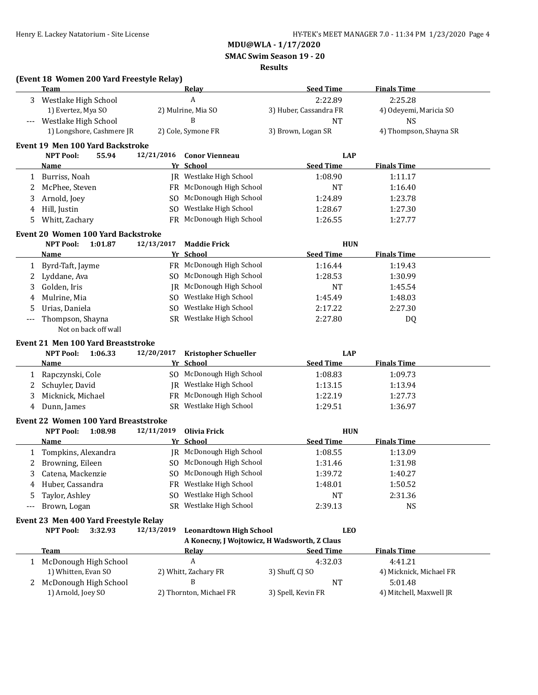**SMAC Swim Season 19 - 20**

#### **Results**

|                          | (Event 18 Women 200 Yard Freestyle Relay)   |            |                                              |                        |                         |
|--------------------------|---------------------------------------------|------------|----------------------------------------------|------------------------|-------------------------|
|                          | Team                                        |            | <u>Relav</u>                                 | <b>Seed Time</b>       | <b>Finals Time</b>      |
| 3                        | Westlake High School                        |            | A                                            | 2:22.89                | 2:25.28                 |
|                          | 1) Evertez, Mya SO                          |            | 2) Mulrine, Mia SO                           | 3) Huber, Cassandra FR | 4) Odeyemi, Maricia SO  |
|                          | Westlake High School                        |            | B                                            | <b>NT</b>              | <b>NS</b>               |
|                          | 1) Longshore, Cashmere JR                   |            | 2) Cole, Symone FR                           | 3) Brown, Logan SR     | 4) Thompson, Shayna SR  |
|                          | <b>Event 19 Men 100 Yard Backstroke</b>     |            |                                              |                        |                         |
|                          | <b>NPT Pool:</b><br>55.94                   | 12/21/2016 | <b>Conor Vienneau</b>                        | <b>LAP</b>             |                         |
|                          | <b>Name</b>                                 |            | Yr School                                    | <b>Seed Time</b>       | <b>Finals Time</b>      |
|                          | 1 Burriss, Noah                             |            | JR Westlake High School                      | 1:08.90                | 1:11.17                 |
| 2                        | McPhee, Steven                              |            | FR McDonough High School                     | <b>NT</b>              | 1:16.40                 |
| 3                        | Arnold, Joey                                |            | SO McDonough High School                     | 1:24.89                | 1:23.78                 |
| 4                        | Hill, Justin                                |            | SO Westlake High School                      | 1:28.67                | 1:27.30                 |
| 5                        | Whitt, Zachary                              |            | FR McDonough High School                     | 1:26.55                | 1:27.77                 |
|                          | <b>Event 20 Women 100 Yard Backstroke</b>   |            |                                              |                        |                         |
|                          | <b>NPT Pool:</b><br>1:01.87                 | 12/13/2017 | <b>Maddie Frick</b>                          | <b>HUN</b>             |                         |
|                          | <b>Name</b>                                 |            | Yr School                                    | <b>Seed Time</b>       | <b>Finals Time</b>      |
| 1                        | Byrd-Taft, Jayme                            |            | FR McDonough High School                     | 1:16.44                | 1:19.43                 |
| 2                        | Lyddane, Ava                                |            | SO McDonough High School                     | 1:28.53                | 1:30.99                 |
| 3                        | Golden, Iris                                |            | JR McDonough High School                     | <b>NT</b>              | 1:45.54                 |
|                          | Mulrine, Mia                                |            | SO Westlake High School                      |                        |                         |
| 4                        |                                             |            |                                              | 1:45.49                | 1:48.03                 |
| 5                        | Urias, Daniela                              |            | SO Westlake High School                      | 2:17.22                | 2:27.30                 |
| $\overline{\phantom{a}}$ | Thompson, Shayna<br>Not on back off wall    |            | SR Westlake High School                      | 2:27.80                | DQ                      |
|                          |                                             |            |                                              |                        |                         |
|                          | <b>Event 21 Men 100 Yard Breaststroke</b>   |            |                                              |                        |                         |
|                          | <b>NPT Pool:</b><br>1:06.33                 | 12/20/2017 | <b>Kristopher Schueller</b>                  | <b>LAP</b>             |                         |
|                          | Name                                        |            | Yr School                                    | <b>Seed Time</b>       | <b>Finals Time</b>      |
| 1                        | Rapczynski, Cole                            |            | SO McDonough High School                     | 1:08.83                | 1:09.73                 |
| 2                        | Schuyler, David                             |            | JR Westlake High School                      | 1:13.15                | 1:13.94                 |
| 3                        | Micknick, Michael                           |            | FR McDonough High School                     | 1:22.19                | 1:27.73                 |
| 4                        | Dunn, James                                 |            | SR Westlake High School                      | 1:29.51                | 1:36.97                 |
|                          | <b>Event 22 Women 100 Yard Breaststroke</b> |            |                                              |                        |                         |
|                          | <b>NPT Pool:</b><br>1:08.98                 | 12/11/2019 | <b>Olivia Frick</b>                          | <b>HUN</b>             |                         |
|                          | Name                                        |            | Yr School                                    | <b>Seed Time</b>       | <b>Finals Time</b>      |
| 1                        | Tompkins, Alexandra                         |            | JR McDonough High School                     | 1:08.55                | 1:13.09                 |
| 2                        | Browning, Eileen                            |            | SO McDonough High School                     | 1:31.46                | 1:31.98                 |
| 3                        | Catena, Mackenzie                           |            | SO McDonough High School                     | 1:39.72                | 1:40.27                 |
| 4                        | Huber, Cassandra                            |            | FR Westlake High School                      | 1:48.01                | 1:50.52                 |
| 5                        | Taylor, Ashley                              | SO.        | Westlake High School                         | <b>NT</b>              | 2:31.36                 |
| $---$                    | Brown, Logan                                |            | SR Westlake High School                      | 2:39.13                | <b>NS</b>               |
|                          | Event 23 Men 400 Yard Freestyle Relay       |            |                                              |                        |                         |
|                          | 3:32.93<br><b>NPT Pool:</b>                 | 12/13/2019 | <b>Leonardtown High School</b>               | <b>LEO</b>             |                         |
|                          |                                             |            | A Konecny, J Wojtowicz, H Wadsworth, Z Claus |                        |                         |
|                          | <b>Team</b>                                 |            | Relay                                        | <b>Seed Time</b>       | <b>Finals Time</b>      |
|                          | 1 McDonough High School                     |            | $\boldsymbol{A}$                             | 4:32.03                | 4:41.21                 |
|                          | 1) Whitten, Evan SO                         |            | 2) Whitt, Zachary FR                         | 3) Shuff, CJ SO        | 4) Micknick, Michael FR |
| 2                        | McDonough High School                       |            | B                                            | NT                     | 5:01.48                 |
|                          | 1) Arnold, Joey SO                          |            | 2) Thornton, Michael FR                      | 3) Spell, Kevin FR     | 4) Mitchell, Maxwell JR |
|                          |                                             |            |                                              |                        |                         |